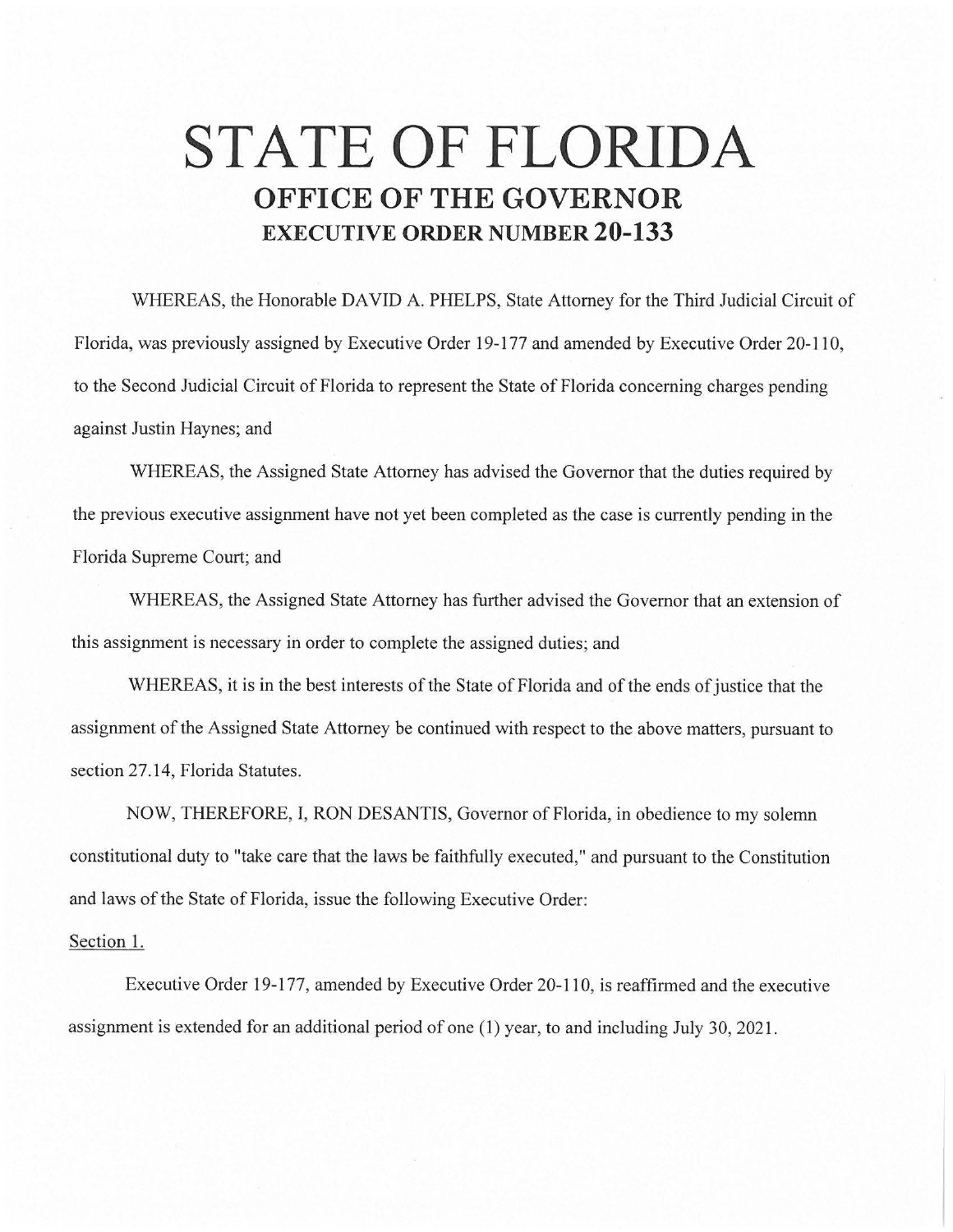## **STATE OF FLORIDA OFFICE OF THE GOVERNOR EXECUTIVE ORDER NUMBER 20-133**

WHEREAS, the Honorable DAVID A. PHELPS, State Attorney for the Third Judicial Circuit of Florida, was previously assigned by Executive Order 19-177 and amended by Executive Order 20-110, to the Second Judicial Circuit of Florida to represent the State of Florida concerning charges pending against Justin Haynes; and

WHEREAS, the Assigned State Attorney has advised the Governor that the duties required by the previous executive assignment have not yet been completed as the case is currently pending in the Florida Supreme Court; and

WHEREAS, the Assigned State Attorney has further advised the Governor that an extension of this assignment is necessary in order to complete the assigned duties; and

WHEREAS, it is in the best interests of the State of Florida and of the ends of justice that the assignment of the Assigned State Attorney be continued with respect to the above matters, pursuant to section 27.14, Florida Statutes.

NOW, THEREFORE, I, RON DESANTIS, Governor of Florida, in obedience to my solemn constitutional duty to "take care that the laws be faithfully executed," and pursuant to the Constitution and laws of the State of Florida, issue the following Executive Order:

## Section 1.

Executive Order 19-177, amended by Executive Order 20-110, is reaffirmed and the executive assignment is extended for an additional period of one (I) year, to and including July 30, 2021.